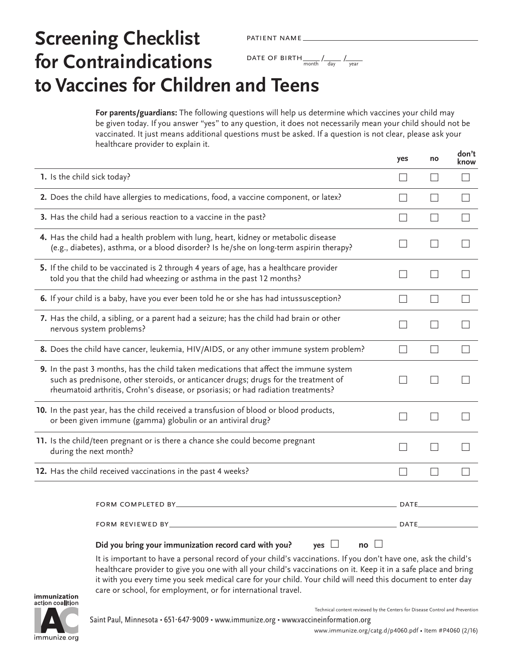# **Screening Checklist for Contraindications to Vaccines for Children and Teens** patient name DATE OF BIRTH  $\frac{1}{\text{month}}$  /  $\frac{1}{\text{day}}$  /  $\frac{1}{\text{year}}$

**For parents/guardians:** The following questions will help us determine which vaccines your child may be given today. If you answer "yes" to any question, it does not necessarily mean your child should not be vaccinated. It just means additional questions must be asked. If a question is not clear, please ask your healthcare provider to explain it.

|                                                                                                                                                                                                                                                                    | yes                      | no                | know              |
|--------------------------------------------------------------------------------------------------------------------------------------------------------------------------------------------------------------------------------------------------------------------|--------------------------|-------------------|-------------------|
| 1. Is the child sick today?                                                                                                                                                                                                                                        | $\mathsf{L}$             | $\vert \ \ \vert$ |                   |
| 2. Does the child have allergies to medications, food, a vaccine component, or latex?                                                                                                                                                                              | $\vert \ \ \vert$        | $\vert \ \ \vert$ |                   |
| 3. Has the child had a serious reaction to a vaccine in the past?                                                                                                                                                                                                  | $\overline{\phantom{0}}$ | $\vert \ \ \vert$ | $\vert \ \ \vert$ |
| 4. Has the child had a health problem with lung, heart, kidney or metabolic disease<br>(e.g., diabetes), asthma, or a blood disorder? Is he/she on long-term aspirin therapy?                                                                                      |                          |                   |                   |
| 5. If the child to be vaccinated is 2 through 4 years of age, has a healthcare provider<br>told you that the child had wheezing or asthma in the past 12 months?                                                                                                   |                          | $\Box$            |                   |
| 6. If your child is a baby, have you ever been told he or she has had intussusception?                                                                                                                                                                             | $\Box$                   | $\vert \ \ \vert$ | $\Box$            |
| 7. Has the child, a sibling, or a parent had a seizure; has the child had brain or other<br>nervous system problems?                                                                                                                                               |                          | $\vert \ \ \vert$ |                   |
| 8. Does the child have cancer, leukemia, HIV/AIDS, or any other immune system problem?                                                                                                                                                                             | $\vert \ \ \vert$        | $\vert \ \ \vert$ |                   |
| 9. In the past 3 months, has the child taken medications that affect the immune system<br>such as prednisone, other steroids, or anticancer drugs; drugs for the treatment of<br>rheumatoid arthritis, Crohn's disease, or psoriasis; or had radiation treatments? |                          |                   |                   |
| 10. In the past year, has the child received a transfusion of blood or blood products,<br>or been given immune (gamma) globulin or an antiviral drug?                                                                                                              |                          |                   |                   |
| 11. Is the child/teen pregnant or is there a chance she could become pregnant<br>during the next month?                                                                                                                                                            |                          | $\mathcal{L}$     |                   |
| 12. Has the child received vaccinations in the past 4 weeks?                                                                                                                                                                                                       | $\Box$                   | $\vert \ \ \vert$ |                   |
| FORM COMPLETED BY_                                                                                                                                                                                                                                                 | DATE.                    |                   |                   |
|                                                                                                                                                                                                                                                                    | DATE.                    |                   |                   |
| Did you bring your immunization record card with you?<br>no $\Box$<br>yes $\Box$                                                                                                                                                                                   |                          |                   |                   |
| It is important to have a personal record of your child's vaccinations. If you don't have one, ask the child's<br>healthcare provider to give you one with all your child's vaccinations on it. Keep it in a safe place and bring                                  |                          |                   |                   |

immunization action coalition

immunize.org

Technical content reviewed by the Centers for Disease Control and Prevention

**don't**

care or school, for employment, or for international travel.

it with you every time you seek medical care for your child. Your child will need this document to enter day

[www.immunize.org/catg.d/p4060.pdf](http://www.immunize.org/catg.d/p4060.pdf) • Item #P4060 (2/16)